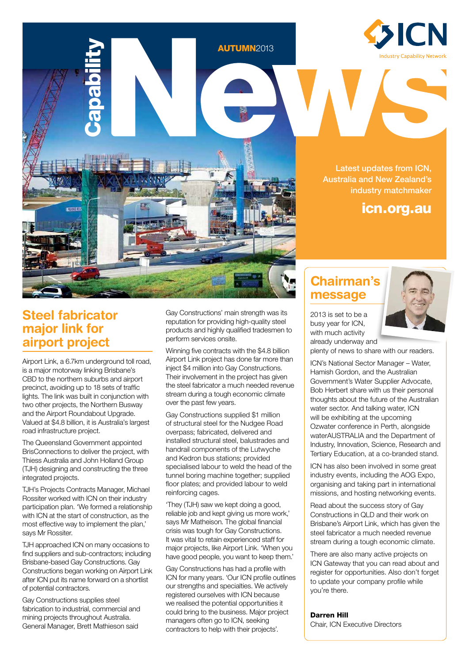

Latest updates from ICN, Australia and New Zealand's industry matchmaker

# icn.org.au

## **Steel fabricator major link for airport project**

Airport Link, a 6.7km underground toll road, is a major motorway linking Brisbane's CBD to the northern suburbs and airport precinct, avoiding up to 18 sets of traffic lights. The link was built in conjunction with two other projects, the Northern Busway and the Airport Roundabout Upgrade. Valued at \$4.8 billion, it is Australia's largest road infrastructure project.

Capability

The Queensland Government appointed BrisConnections to deliver the project, with Thiess Australia and John Holland Group (TJH) designing and constructing the three integrated projects.

TJH's Projects Contracts Manager, Michael Rossiter worked with ICN on their industry participation plan. 'We formed a relationship with ICN at the start of construction, as the most effective way to implement the plan,' says Mr Rossiter.

TJH approached ICN on many occasions to find suppliers and sub-contractors; including Brisbane-based Gay Constructions. Gay Constructions began working on Airport Link after ICN put its name forward on a shortlist of potential contractors.

Gay Constructions supplies steel fabrication to industrial, commercial and mining projects throughout Australia. General Manager, Brett Mathieson said

Gay Constructions' main strength was its reputation for providing high-quality steel products and highly qualified tradesmen to perform services onsite.

**AUTUMN2013** 

Winning five contracts with the \$4.8 billion Airport Link project has done far more than inject \$4 million into Gay Constructions. Their involvement in the project has given the steel fabricator a much needed revenue stream during a tough economic climate over the past few years.

Gay Constructions supplied \$1 million of structural steel for the Nudgee Road overpass; fabricated, delivered and installed structural steel, balustrades and handrail components of the Lutwyche and Kedron bus stations; provided specialised labour to weld the head of the tunnel boring machine together; supplied floor plates; and provided labour to weld reinforcing cages.

'They (TJH) saw we kept doing a good, reliable job and kept giving us more work,' says Mr Matheison. The global financial crisis was tough for Gay Constructions. It was vital to retain experienced staff for major projects, like Airport Link. 'When you have good people, you want to keep them.'

Gay Constructions has had a profile with ICN for many years. 'Our ICN profile outlines our strengths and specialties. We actively registered ourselves with ICN because we realised the potential opportunities it could bring to the business. Major project managers often go to ICN, seeking contractors to help with their projects'.

# **Chairman's message**

2013 is set to be a busy year for ICN, with much activity already underway and



plenty of news to share with our readers.

ICN's National Sector Manager – Water, Hamish Gordon, and the Australian Government's Water Supplier Advocate, Bob Herbert share with us their personal thoughts about the future of the Australian water sector. And talking water, ICN will be exhibiting at the upcoming Ozwater conference in Perth, alongside waterAUSTRALIA and the Department of Industry, Innovation, Science, Research and Tertiary Education, at a co-branded stand.

ICN has also been involved in some great industry events, including the AOG Expo, organising and taking part in international missions, and hosting networking events.

Read about the success story of Gay Constructions in QLD and their work on Brisbane's Airport Link, which has given the steel fabricator a much needed revenue stream during a tough economic climate.

There are also many active projects on ICN Gateway that you can read about and register for opportunities. Also don't forget to update your company profile while you're there.

#### Darren Hill

Chair, ICN Executive Directors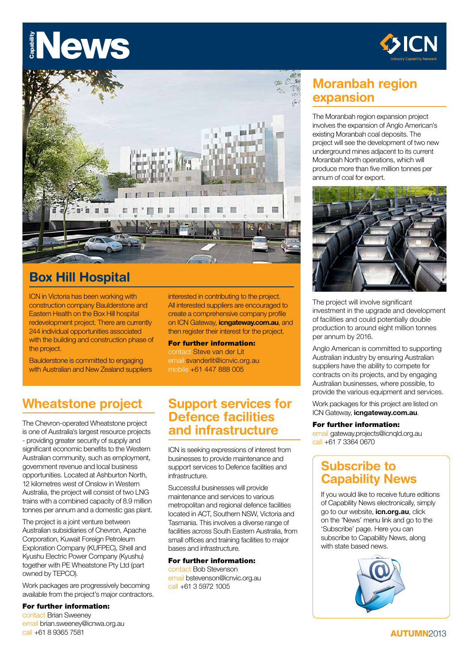# Capability **NAWS**





# **Box Hill Hospital**

ICN in Victoria has been working with construction company Baulderstone and Eastern Health on the Box Hill hospital redevelopment project. There are currently 244 individual opportunities associated with the building and construction phase of the project.

Baulderstone is committed to engaging with Australian and New Zealand suppliers interested in contributing to the project. All interested suppliers are encouraged to create a comprehensive company profile on ICN Gateway, **icngateway.com.au**, and then register their interest for the project.

For further information: contact Steve van der Lit email svanderlit@icnvic.org.au mobile +61 447 888 005

# **Wheatstone project**

The Chevron-operated Wheatstone project is one of Australia's largest resource projects - providing greater security of supply and significant economic benefits to the Western Australian community, such as employment, government revenue and local business opportunities. Located at Ashburton North, 12 kilometres west of Onslow in Western Australia, the project will consist of two LNG trains with a combined capacity of 8.9 million tonnes per annum and a domestic gas plant.

The project is a joint venture between Australian subsidiaries of Chevron, Apache Corporation, Kuwait Foreign Petroleum Exploration Company (KUFPEC), Shell and Kyushu Electric Power Company (Kyushu) together with PE Wheatstone Pty Ltd (part owned by TEPCO).

Work packages are progressively becoming available from the project's major contractors.

#### For further information:

contact Brian Sweeney email brian.sweeney@icnwa.org.au call +61 8 9365 7581

### **Support services for Defence facilities and infrastructure**

ICN is seeking expressions of interest from businesses to provide maintenance and support services to Defence facilities and infrastructure.

Successful businesses will provide maintenance and services to various metropolitan and regional defence facilities located in ACT, Southern NSW, Victoria and Tasmania. This involves a diverse range of facilities across South Eastern Australia, from small offices and training facilities to major bases and infrastructure.

#### For further information:

contact Bob Stevenson email bstevenson@icnvic.org.au call +61 3 5972 1005

# **Moranbah region expansion**

The Moranbah region expansion project involves the expansion of Anglo American's existing Moranbah coal deposits. The project will see the development of two new underground mines adjacent to its current Moranbah North operations, which will produce more than five million tonnes per annum of coal for export.



The project will involve significant investment in the upgrade and development of facilities and could potentially double production to around eight million tonnes per annum by 2016.

Anglo American is committed to supporting Australian industry by ensuring Australian suppliers have the ability to compete for contracts on its projects, and by engaging Australian businesses, where possible, to provide the various equipment and services.

Work packages for this project are listed on ICN Gateway, **icngateway.com.au**.

#### For further information:

email gateway.projects@icnqld.org.au call +61 7 3364 0670

# **Subscribe to Capability News**

If you would like to receive future editions of Capability News electronically, simply go to our website, **icn.org.au**, click on the 'News' menu link and go to the 'Subscribe' page. Here you can subscribe to Capability News, along with state based news.

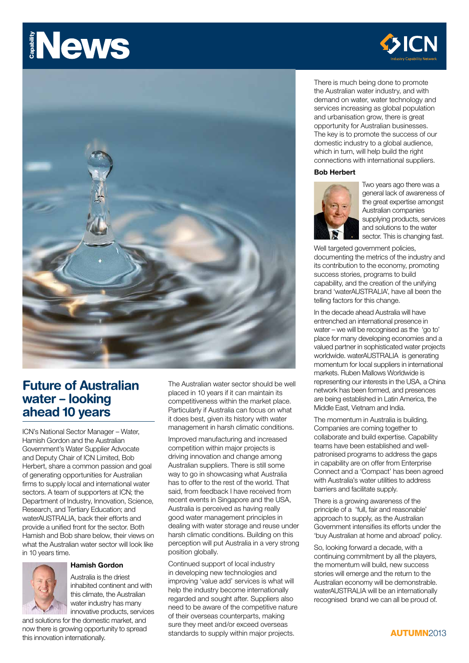# **News** Capability



## **Future of Australian water – looking ahead 10 years**

ICN's National Sector Manager – Water, Hamish Gordon and the Australian Government's Water Supplier Advocate and Deputy Chair of ICN Limited, Bob Herbert, share a common passion and goal of generating opportunities for Australian firms to supply local and international water sectors. A team of supporters at ICN; the Department of Industry, Innovation, Science, Research, and Tertiary Education; and waterAUSTRALIA, back their efforts and provide a unified front for the sector. Both Hamish and Bob share below, their views on what the Australian water sector will look like in 10 years time.



#### **Hamish Gordon**

Australia is the driest inhabited continent and with this climate, the Australian water industry has many innovative products, services

and solutions for the domestic market, and now there is growing opportunity to spread this innovation internationally.

The Australian water sector should be well placed in 10 years if it can maintain its competitiveness within the market place. Particularly if Australia can focus on what it does best, given its history with water management in harsh climatic conditions.

Improved manufacturing and increased competition within major projects is driving innovation and change among Australian suppliers. There is still some way to go in showcasing what Australia has to offer to the rest of the world. That said, from feedback I have received from recent events in Singapore and the USA, Australia is perceived as having really good water management principles in dealing with water storage and reuse under harsh climatic conditions. Building on this perception will put Australia in a very strong position globally.

Continued support of local industry in developing new technologies and improving 'value add' services is what will help the industry become internationally regarded and sought after. Suppliers also need to be aware of the competitive nature of their overseas counterparts, making sure they meet and/or exceed overseas standards to supply within major projects.



There is much being done to promote the Australian water industry, and with demand on water, water technology and services increasing as global population and urbanisation grow, there is great opportunity for Australian businesses. The key is to promote the success of our domestic industry to a global audience, which in turn, will help build the right connections with international suppliers.

#### **Bob Herbert**



Two years ago there was a general lack of awareness of the great expertise amongst Australian companies supplying products, services and solutions to the water sector. This is changing fast.

Well targeted government policies, documenting the metrics of the industry and its contribution to the economy, promoting success stories, programs to build capability, and the creation of the unifying brand 'waterAUSTRALIA', have all been the telling factors for this change.

In the decade ahead Australia will have entrenched an international presence in water – we will be recognised as the 'go to' place for many developing economies and a valued partner in sophisticated water projects worldwide. waterAUSTRALIA is generating momentum for local suppliers in international markets. Ruben Mallows Worldwide is representing our interests in the USA, a China network has been formed, and presences are being established in Latin America, the Middle East, Vietnam and India.

The momentum in Australia is building. Companies are coming together to collaborate and build expertise. Capability teams have been established and wellpatronised programs to address the gaps in capability are on offer from Enterprise Connect and a 'Compact' has been agreed with Australia's water utilities to address barriers and facilitate supply.

There is a growing awareness of the principle of a 'full, fair and reasonable' approach to supply, as the Australian Government intensifies its efforts under the 'buy Australian at home and abroad' policy.

So, looking forward a decade, with a continuing commitment by all the players, the momentum will build, new success stories will emerge and the return to the Australian economy will be demonstrable. waterAUSTRALIA will be an internationally recognised brand we can all be proud of.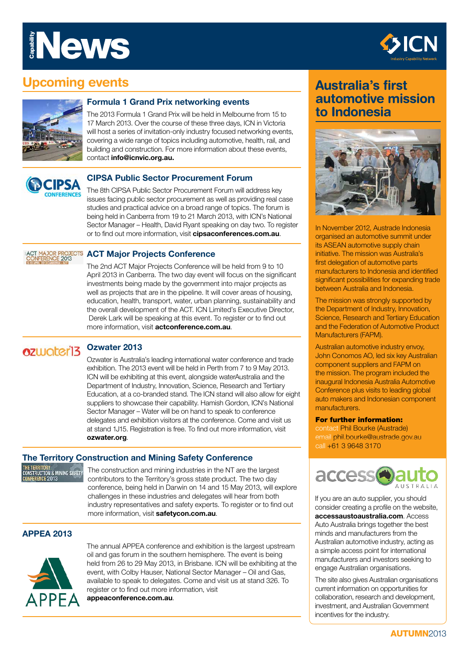# News Capability



# **Upcoming events**



#### **Formula 1 Grand Prix networking events**

The 2013 Formula 1 Grand Prix will be held in Melbourne from 15 to 17 March 2013. Over the course of these three days, ICN in Victoria will host a series of invitation-only industry focused networking events, covering a wide range of topics including automotive, health, rail, and building and construction. For more information about these events, contact **info@icnvic.org.au.**



#### **CIPSA Public Sector Procurement Forum**

The 8th CIPSA Public Sector Procurement Forum will address key issues facing public sector procurement as well as providing real case studies and practical advice on a broad range of topics. The forum is being held in Canberra from 19 to 21 March 2013, with ICN's National Sector Manager – Health, David Ryant speaking on day two. To register or to find out more information, visit **cipsaconferences.com.au**.

# **ACT MAJOR PROJECTS ACT Major Projects Conference**

The 2nd ACT Major Projects Conference will be held from 9 to 10 April 2013 in Canberra. The two day event will focus on the significant investments being made by the government into major projects as well as projects that are in the pipeline. It will cover areas of housing, education, health, transport, water, urban planning, sustainability and the overall development of the ACT. ICN Limited's Executive Director, Derek Lark will be speaking at this event. To register or to find out more information, visit **actconference.com.au**.

#### **Ozwater 2013** ozwater13

Ozwater is Australia's leading international water conference and trade exhibition. The 2013 event will be held in Perth from 7 to 9 May 2013. ICN will be exhibiting at this event, alongside waterAustralia and the Department of Industry, Innovation, Science, Research and Tertiary Education, at a co-branded stand. The ICN stand will also allow for eight suppliers to showcase their capability. Hamish Gordon, ICN's National Sector Manager – Water will be on hand to speak to conference delegates and exhibition visitors at the conference. Come and visit us at stand 1J15. Registration is free. To find out more information, visit **ozwater.org**.

#### **The Territory Construction and Mining Safety Conference**

.<br>The territory<br>Construction & Mining Safety **RENCE 2013** 

The construction and mining industries in the NT are the largest contributors to the Territory's gross state product. The two day conference, being held in Darwin on 14 and 15 May 2013, will explore challenges in these industries and delegates will hear from both industry representatives and safety experts. To register or to find out more information, visit **safetycon.com.au**.

#### **APPEA 2013**



The annual APPEA conference and exhibition is the largest upstream oil and gas forum in the southern hemisphere. The event is being held from 26 to 29 May 2013, in Brisbane. ICN will be exhibiting at the event, with Colby Hauser, National Sector Manager – Oil and Gas, available to speak to delegates. Come and visit us at stand 326. To register or to find out more information, visit **appeaconference.com.au**.

## **Australia's first automotive mission to Indonesia**



In November 2012, Austrade Indonesia organised an automotive summit under its ASEAN automotive supply chain initiative. The mission was Australia's first delegation of automotive parts manufacturers to Indonesia and identified significant possibilities for expanding trade between Australia and Indonesia.

The mission was strongly supported by the Department of Industry, Innovation, Science, Research and Tertiary Education and the Federation of Automotive Product Manufacturers (FAPM).

Australian automotive industry envoy, John Conomos AO, led six key Australian component suppliers and FAPM on the mission. The program included the inaugural Indonesia Australia Automotive Conference plus visits to leading global auto makers and Indonesian component manufacturers.

#### For further information:

contact Phil Bourke (Austrade) email phil.bourke@austrade.gov.au call +61 3 9648 3170



If you are an auto supplier, you should consider creating a profile on the website, **accessaustoaustralia.com**. Access Auto Australia brings together the best minds and manufacturers from the Australian automotive industry, acting as a simple access point for international manufacturers and investors seeking to engage Australian organisations.

The site also gives Australian organisations current information on opportunities for collaboration, research and development, investment, and Australian Government incentives for the industry.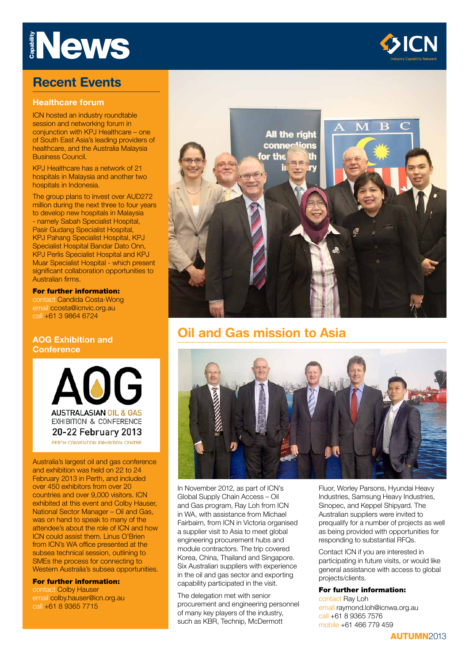# **News**

## **Recent Events**

#### **Healthcare forum**

ICN hosted an industry roundtable session and networking forum in conjunction with KPJ Healthcare – one of South East Asia's leading providers of healthcare, and the Australia Malaysia Business Council.

KPJ Healthcare has a network of 21 hospitals in Malaysia and another two hospitals in Indonesia.

The group plans to invest over AUD272 million during the next three to four years to develop new hospitals in Malaysia - namely Sabah Specialist Hospital, Pasir Gudang Specialist Hospital, KPJ Pahang Specialist Hospital, KPJ Specialist Hospital Bandar Dato Onn. KPJ Perlis Specialist Hospital and KPJ Muar Specialist Hospital - which present significant collaboration opportunities to Australian firms.

#### For further information:

contact Candida Costa-Wong email ccosta@icnvic.org.au call +61 3 9864 6724

#### **AOG Exhibition and Conference**

OG **AUSTRALASIAN OIL & GAS EXHIBITION & CONFERENCE** 20-22 February 2013 PERTH CONVENTION EXHIBITION CENTRE

Australia's largest oil and gas conference and exhibition was held on 22 to 24 February 2013 in Perth, and included over 450 exhibitors from over 20 countries and over 9,000 visitors. ICN exhibited at this event and Colby Hauser, National Sector Manager – Oil and Gas, was on hand to speak to many of the attendee's about the role of ICN and how ICN could assist them. Linus O'Brien from ICN's WA office presented at the subsea technical session, outlining to SMEs the process for connecting to Western Australia's subsea opportunities. call +61 8 9365 7715 Capability

For further information: contact Colby Hauser email colby.hauser@icn.org.au<br>call +61 8 9365 7715



**All the right** 

ons

conner

for the

# **Oil and Gas mission to Asia**



In November 2012, as part of ICN's Global Supply Chain Access – Oil and Gas program, Ray Loh from ICN in WA, with assistance from Michael Fairbairn, from ICN in Victoria organised a supplier visit to Asia to meet global engineering procurement hubs and module contractors. The trip covered Korea, China, Thailand and Singapore. Six Australian suppliers with experience in the oil and gas sector and exporting capability participated in the visit.

The delegation met with senior procurement and engineering personnel of many key players of the industry, such as KBR, Technip, McDermott

Fluor, Worley Parsons, Hyundai Heavy Industries, Samsung Heavy Industries, Sinopec, and Keppel Shipyard. The Australian suppliers were invited to prequalify for a number of projects as well as being provided with opportunities for responding to substantial RFQs.

Contact ICN if you are interested in participating in future visits, or would like general assistance with access to global projects/clients.

#### For further information:

contact Ray Loh email raymond.loh@icnwa.org.au call +61 8 9365 7576 mobile +61 466 779 459